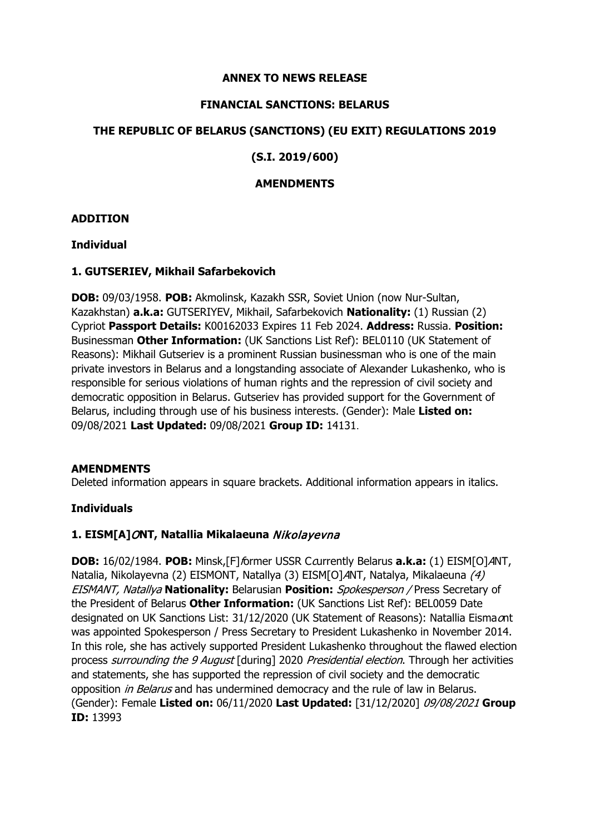### **ANNEX TO NEWS RELEASE**

### **FINANCIAL SANCTIONS: BELARUS**

### **THE REPUBLIC OF BELARUS (SANCTIONS) (EU EXIT) REGULATIONS 2019**

### **(S.I. 2019/600)**

### **AMENDMENTS**

### **ADDITION**

### **Individual**

### **1. GUTSERIEV, Mikhail Safarbekovich**

**DOB:** 09/03/1958. **POB:** Akmolinsk, Kazakh SSR, Soviet Union (now Nur-Sultan, Kazakhstan) **a.k.a:** GUTSERIYEV, Mikhail, Safarbekovich **Nationality:** (1) Russian (2) Cypriot **Passport Details:** K00162033 Expires 11 Feb 2024. **Address:** Russia. **Position:**  Businessman **Other Information:** (UK Sanctions List Ref): BEL0110 (UK Statement of Reasons): Mikhail Gutseriev is a prominent Russian businessman who is one of the main private investors in Belarus and a longstanding associate of Alexander Lukashenko, who is responsible for serious violations of human rights and the repression of civil society and democratic opposition in Belarus. Gutseriev has provided support for the Government of Belarus, including through use of his business interests. (Gender): Male **Listed on:**  09/08/2021 **Last Updated:** 09/08/2021 **Group ID:** 14131.

### **AMENDMENTS**

Deleted information appears in square brackets. Additional information appears in italics.

# **Individuals**

# **1. EISM[A]**O**NT, Natallia Mikalaeuna** Nikolayevna

**DOB:** 16/02/1984. **POB:** Minsk, [F] former USSR Courrently Belarus **a.k.a:** (1) EISM[O] ANT, Natalia, Nikolayevna (2) EISMONT, Natallya (3) EISM[O]ANT, Natalya, Mikalaeuna (4) EISMANT, Natallya **Nationality:** Belarusian **Position:** Spokesperson / Press Secretary of the President of Belarus **Other Information:** (UK Sanctions List Ref): BEL0059 Date designated on UK Sanctions List: 31/12/2020 (UK Statement of Reasons): Natallia Eisma ont was appointed Spokesperson / Press Secretary to President Lukashenko in November 2014. In this role, she has actively supported President Lukashenko throughout the flawed election process surrounding the 9 August [during] 2020 Presidential election. Through her activities and statements, she has supported the repression of civil society and the democratic opposition in Belarus and has undermined democracy and the rule of law in Belarus. (Gender): Female **Listed on:** 06/11/2020 **Last Updated:** [31/12/2020] 09/08/2021 **Group ID:** 13993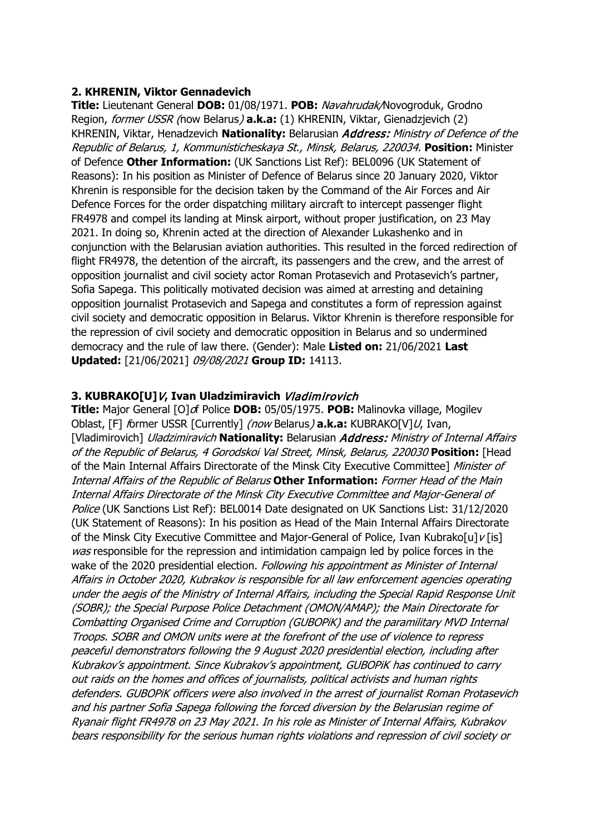### **2. KHRENIN, Viktor Gennadevich**

**Title:** Lieutenant General **DOB:** 01/08/1971. **POB:** Navahrudak/Novogroduk, Grodno Region, former USSR (now Belarus) **a.k.a:** (1) KHRENIN, Viktar, Gienadzjevich (2) KHRENIN, Viktar, Henadzevich **Nationality:** Belarusian Address: Ministry of Defence of the Republic of Belarus, 1, Kommunisticheskaya St., Minsk, Belarus, 220034. **Position:** Minister of Defence **Other Information:** (UK Sanctions List Ref): BEL0096 (UK Statement of Reasons): In his position as Minister of Defence of Belarus since 20 January 2020, Viktor Khrenin is responsible for the decision taken by the Command of the Air Forces and Air Defence Forces for the order dispatching military aircraft to intercept passenger flight FR4978 and compel its landing at Minsk airport, without proper justification, on 23 May 2021. In doing so, Khrenin acted at the direction of Alexander Lukashenko and in conjunction with the Belarusian aviation authorities. This resulted in the forced redirection of flight FR4978, the detention of the aircraft, its passengers and the crew, and the arrest of opposition journalist and civil society actor Roman Protasevich and Protasevich's partner, Sofia Sapega. This politically motivated decision was aimed at arresting and detaining opposition journalist Protasevich and Sapega and constitutes a form of repression against civil society and democratic opposition in Belarus. Viktor Khrenin is therefore responsible for the repression of civil society and democratic opposition in Belarus and so undermined democracy and the rule of law there. (Gender): Male **Listed on:** 21/06/2021 **Last Updated:** [21/06/2021] 09/08/2021 **Group ID:** 14113.

### **3. KUBRAKO[U]**V**, Ivan Uladzimiravich** Vladimirovich

**Title:** Major General [O]of Police **DOB:** 05/05/1975. **POB:** Malinovka village, Mogilev Oblast, [F] former USSR [Currently] (now Belarus) **a.k.a:** KUBRAKO[V]U, Ivan, [Vladimirovich] Uladzimiravich **Nationality:** Belarusian Address: Ministry of Internal Affairs of the Republic of Belarus, 4 Gorodskoi Val Street, Minsk, Belarus, 220030 **Position:** [Head of the Main Internal Affairs Directorate of the Minsk City Executive Committee] Minister of Internal Affairs of the Republic of Belarus **Other Information:** Former Head of the Main Internal Affairs Directorate of the Minsk City Executive Committee and Major-General of Police (UK Sanctions List Ref): BEL0014 Date designated on UK Sanctions List: 31/12/2020 (UK Statement of Reasons): In his position as Head of the Main Internal Affairs Directorate of the Minsk City Executive Committee and Major-General of Police, Ivan Kubrako[u]v[is] was responsible for the repression and intimidation campaign led by police forces in the wake of the 2020 presidential election. Following his appointment as Minister of Internal Affairs in October 2020, Kubrakov is responsible for all law enforcement agencies operating under the aegis of the Ministry of Internal Affairs, including the Special Rapid Response Unit (SOBR); the Special Purpose Police Detachment (OMON/AMAP); the Main Directorate for Combatting Organised Crime and Corruption (GUBOPiK) and the paramilitary MVD Internal Troops. SOBR and OMON units were at the forefront of the use of violence to repress peaceful demonstrators following the 9 August 2020 presidential election, including after Kubrakov's appointment. Since Kubrakov's appointment, GUBOPiK has continued to carry out raids on the homes and offices of journalists, political activists and human rights defenders. GUBOPiK officers were also involved in the arrest of journalist Roman Protasevich and his partner Sofia Sapega following the forced diversion by the Belarusian regime of Ryanair flight FR4978 on 23 May 2021. In his role as Minister of Internal Affairs, Kubrakov bears responsibility for the serious human rights violations and repression of civil society or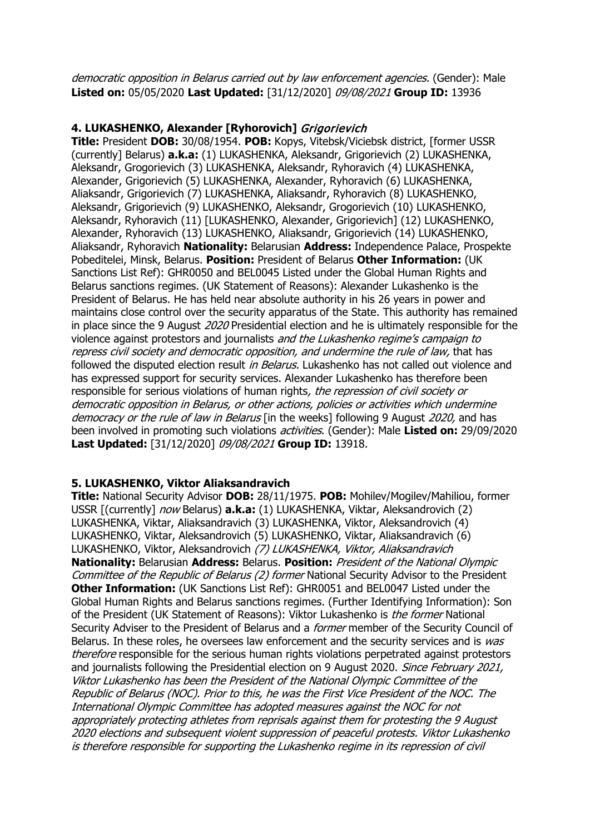democratic opposition in Belarus carried out by law enforcement agencies. (Gender): Male **Listed on:** 05/05/2020 **Last Updated:** [31/12/2020] 09/08/2021 **Group ID:** 13936

### **4. LUKASHENKO, Alexander [Ryhorovich]** Grigorievich

**Title:** President **DOB:** 30/08/1954. **POB:** Kopys, Vitebsk/Viciebsk district, [former USSR (currently] Belarus) **a.k.a:** (1) LUKASHENKA, Aleksandr, Grigorievich (2) LUKASHENKA, Aleksandr, Grogorievich (3) LUKASHENKA, Aleksandr, Ryhoravich (4) LUKASHENKA, Alexander, Grigorievich (5) LUKASHENKA, Alexander, Ryhoravich (6) LUKASHENKA, Aliaksandr, Grigorievich (7) LUKASHENKA, Aliaksandr, Ryhoravich (8) LUKASHENKO, Aleksandr, Grigorievich (9) LUKASHENKO, Aleksandr, Grogorievich (10) LUKASHENKO, Aleksandr, Ryhoravich (11) [LUKASHENKO, Alexander, Grigorievich] (12) LUKASHENKO, Alexander, Ryhoravich (13) LUKASHENKO, Aliaksandr, Grigorievich (14) LUKASHENKO, Aliaksandr, Ryhoravich **Nationality:** Belarusian **Address:** Independence Palace, Prospekte Pobeditelei, Minsk, Belarus. **Position:** President of Belarus **Other Information:** (UK Sanctions List Ref): GHR0050 and BEL0045 Listed under the Global Human Rights and Belarus sanctions regimes. (UK Statement of Reasons): Alexander Lukashenko is the President of Belarus. He has held near absolute authority in his 26 years in power and maintains close control over the security apparatus of the State. This authority has remained in place since the 9 August 2020 Presidential election and he is ultimately responsible for the violence against protestors and journalists and the Lukashenko regime's campaign to repress civil society and democratic opposition, and undermine the rule of law, that has followed the disputed election result *in Belarus*. Lukashenko has not called out violence and has expressed support for security services. Alexander Lukashenko has therefore been responsible for serious violations of human rights, the repression of civil society or democratic opposition in Belarus, or other actions, policies or activities which undermine democracy or the rule of law in Belarus [in the weeks] following 9 August 2020, and has been involved in promoting such violations activities. (Gender): Male **Listed on:** 29/09/2020 **Last Updated:** [31/12/2020] 09/08/2021 **Group ID:** 13918.

#### **5. LUKASHENKO, Viktor Aliaksandravich**

**Title:** National Security Advisor **DOB:** 28/11/1975. **POB:** Mohilev/Mogilev/Mahiliou, former USSR [(currently] now Belarus) **a.k.a:** (1) LUKASHENKA, Viktar, Aleksandrovich (2) LUKASHENKA, Viktar, Aliaksandravich (3) LUKASHENKA, Viktor, Aleksandrovich (4) LUKASHENKO, Viktar, Aleksandrovich (5) LUKASHENKO, Viktar, Aliaksandravich (6) LUKASHENKO, Viktor, Aleksandrovich (7) LUKASHENKA, Viktor, Aliaksandravich **Nationality:** Belarusian **Address:** Belarus. **Position:** President of the National Olympic Committee of the Republic of Belarus (2) former National Security Advisor to the President **Other Information:** (UK Sanctions List Ref): GHR0051 and BEL0047 Listed under the Global Human Rights and Belarus sanctions regimes. (Further Identifying Information): Son of the President (UK Statement of Reasons): Viktor Lukashenko is the former National Security Adviser to the President of Belarus and a *former* member of the Security Council of Belarus. In these roles, he oversees law enforcement and the security services and is was therefore responsible for the serious human rights violations perpetrated against protestors and journalists following the Presidential election on 9 August 2020. Since February 2021, Viktor Lukashenko has been the President of the National Olympic Committee of the Republic of Belarus (NOC). Prior to this, he was the First Vice President of the NOC. The International Olympic Committee has adopted measures against the NOC for not appropriately protecting athletes from reprisals against them for protesting the 9 August 2020 elections and subsequent violent suppression of peaceful protests. Viktor Lukashenko is therefore responsible for supporting the Lukashenko regime in its repression of civil